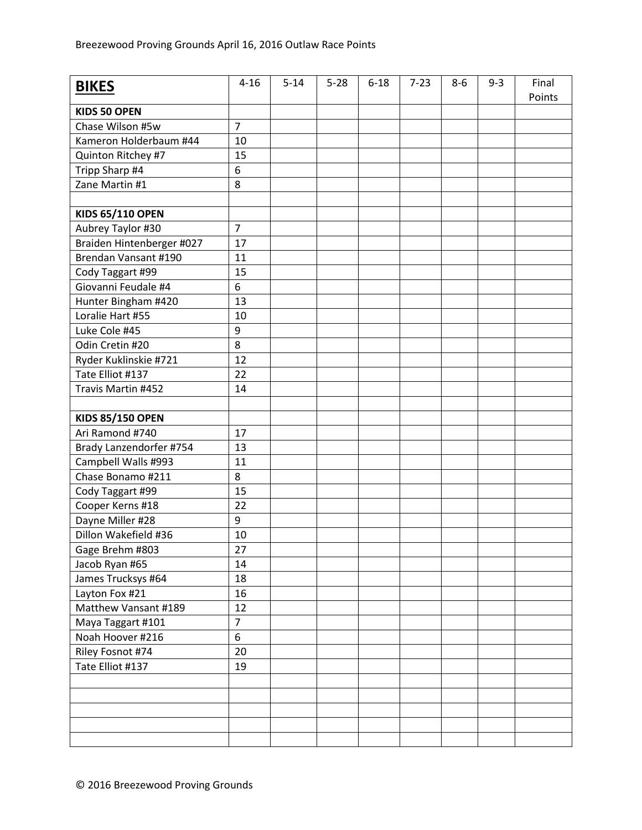| <b>BIKES</b>              | $4 - 16$       | $5 - 14$ | $5 - 28$ | $6 - 18$ | $7 - 23$ | $8 - 6$ | $9 - 3$ | Final<br>Points |
|---------------------------|----------------|----------|----------|----------|----------|---------|---------|-----------------|
| KIDS 50 OPEN              |                |          |          |          |          |         |         |                 |
| Chase Wilson #5w          | $\overline{7}$ |          |          |          |          |         |         |                 |
| Kameron Holderbaum #44    | 10             |          |          |          |          |         |         |                 |
| Quinton Ritchey #7        | 15             |          |          |          |          |         |         |                 |
| Tripp Sharp #4            | 6              |          |          |          |          |         |         |                 |
| Zane Martin #1            | 8              |          |          |          |          |         |         |                 |
|                           |                |          |          |          |          |         |         |                 |
| <b>KIDS 65/110 OPEN</b>   |                |          |          |          |          |         |         |                 |
| Aubrey Taylor #30         | $\overline{7}$ |          |          |          |          |         |         |                 |
| Braiden Hintenberger #027 | 17             |          |          |          |          |         |         |                 |
| Brendan Vansant #190      | 11             |          |          |          |          |         |         |                 |
| Cody Taggart #99          | 15             |          |          |          |          |         |         |                 |
| Giovanni Feudale #4       | 6              |          |          |          |          |         |         |                 |
| Hunter Bingham #420       | 13             |          |          |          |          |         |         |                 |
| Loralie Hart #55          | 10             |          |          |          |          |         |         |                 |
| Luke Cole #45             | 9              |          |          |          |          |         |         |                 |
| Odin Cretin #20           | 8              |          |          |          |          |         |         |                 |
| Ryder Kuklinskie #721     | 12             |          |          |          |          |         |         |                 |
| Tate Elliot #137          | 22             |          |          |          |          |         |         |                 |
| Travis Martin #452        | 14             |          |          |          |          |         |         |                 |
|                           |                |          |          |          |          |         |         |                 |
| <b>KIDS 85/150 OPEN</b>   |                |          |          |          |          |         |         |                 |
| Ari Ramond #740           | 17             |          |          |          |          |         |         |                 |
| Brady Lanzendorfer #754   | 13             |          |          |          |          |         |         |                 |
| Campbell Walls #993       | 11             |          |          |          |          |         |         |                 |
| Chase Bonamo #211         | 8              |          |          |          |          |         |         |                 |
| Cody Taggart #99          | 15             |          |          |          |          |         |         |                 |
| Cooper Kerns #18          | 22             |          |          |          |          |         |         |                 |
| Dayne Miller #28          | 9              |          |          |          |          |         |         |                 |
| Dillon Wakefield #36      | 10             |          |          |          |          |         |         |                 |
| Gage Brehm #803           | 27             |          |          |          |          |         |         |                 |
| Jacob Ryan #65            | 14             |          |          |          |          |         |         |                 |
| James Trucksys #64        | 18             |          |          |          |          |         |         |                 |
| Layton Fox #21            | 16             |          |          |          |          |         |         |                 |
| Matthew Vansant #189      | 12             |          |          |          |          |         |         |                 |
| Maya Taggart #101         | $\overline{7}$ |          |          |          |          |         |         |                 |
| Noah Hoover #216          | 6              |          |          |          |          |         |         |                 |
| Riley Fosnot #74          | 20             |          |          |          |          |         |         |                 |
| Tate Elliot #137          | 19             |          |          |          |          |         |         |                 |
|                           |                |          |          |          |          |         |         |                 |
|                           |                |          |          |          |          |         |         |                 |
|                           |                |          |          |          |          |         |         |                 |
|                           |                |          |          |          |          |         |         |                 |
|                           |                |          |          |          |          |         |         |                 |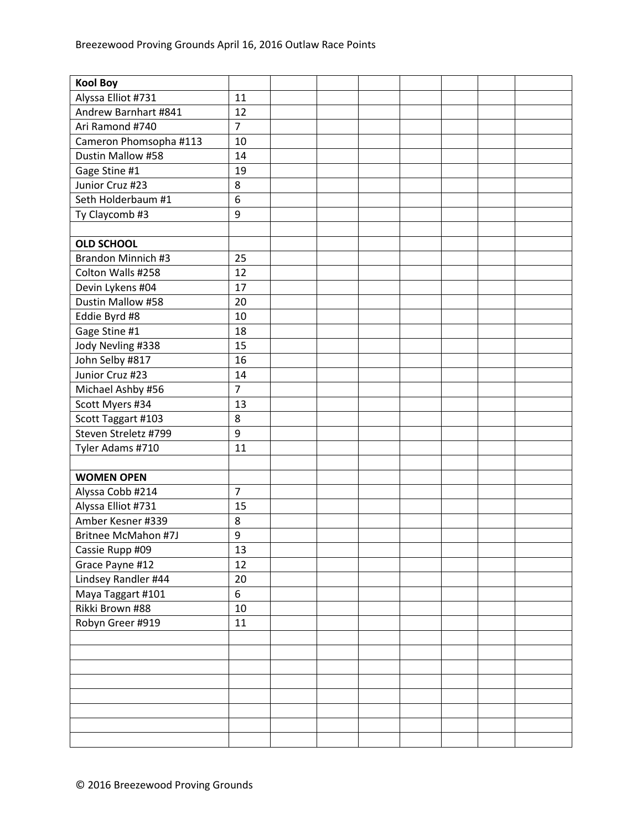| <b>Kool Boy</b>            |                |  |  |  |  |
|----------------------------|----------------|--|--|--|--|
| Alyssa Elliot #731         | 11             |  |  |  |  |
| Andrew Barnhart #841       | 12             |  |  |  |  |
| Ari Ramond #740            | $\overline{7}$ |  |  |  |  |
| Cameron Phomsopha #113     | 10             |  |  |  |  |
| Dustin Mallow #58          | 14             |  |  |  |  |
| Gage Stine #1              | 19             |  |  |  |  |
| Junior Cruz #23            | 8              |  |  |  |  |
| Seth Holderbaum #1         | 6              |  |  |  |  |
| Ty Claycomb #3             | 9              |  |  |  |  |
|                            |                |  |  |  |  |
| <b>OLD SCHOOL</b>          |                |  |  |  |  |
| <b>Brandon Minnich #3</b>  | 25             |  |  |  |  |
| Colton Walls #258          | 12             |  |  |  |  |
| Devin Lykens #04           | 17             |  |  |  |  |
| Dustin Mallow #58          | 20             |  |  |  |  |
| Eddie Byrd #8              | 10             |  |  |  |  |
| Gage Stine #1              | 18             |  |  |  |  |
| Jody Nevling #338          | 15             |  |  |  |  |
| John Selby #817            | 16             |  |  |  |  |
| Junior Cruz #23            | 14             |  |  |  |  |
| Michael Ashby #56          | $\overline{7}$ |  |  |  |  |
| Scott Myers #34            | 13             |  |  |  |  |
| Scott Taggart #103         | 8              |  |  |  |  |
| Steven Streletz #799       | 9              |  |  |  |  |
| Tyler Adams #710           | 11             |  |  |  |  |
|                            |                |  |  |  |  |
| <b>WOMEN OPEN</b>          |                |  |  |  |  |
| Alyssa Cobb #214           | $\overline{7}$ |  |  |  |  |
| Alyssa Elliot #731         | 15             |  |  |  |  |
| Amber Kesner #339          | 8              |  |  |  |  |
| <b>Britnee McMahon #7J</b> | 9              |  |  |  |  |
| Cassie Rupp #09            | 13             |  |  |  |  |
| Grace Payne #12            | 12             |  |  |  |  |
| Lindsey Randler #44        | 20             |  |  |  |  |
| Maya Taggart #101          | 6              |  |  |  |  |
| Rikki Brown #88            | 10             |  |  |  |  |
| Robyn Greer #919           | 11             |  |  |  |  |
|                            |                |  |  |  |  |
|                            |                |  |  |  |  |
|                            |                |  |  |  |  |
|                            |                |  |  |  |  |
|                            |                |  |  |  |  |
|                            |                |  |  |  |  |
|                            |                |  |  |  |  |
|                            |                |  |  |  |  |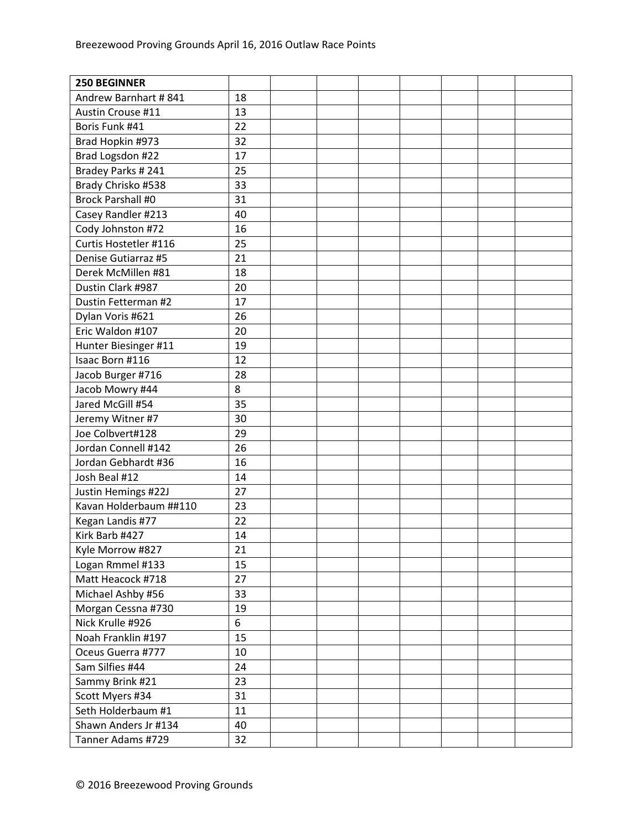| <b>250 BEGINNER</b>      |    |  |  |  |  |
|--------------------------|----|--|--|--|--|
| Andrew Barnhart #841     | 18 |  |  |  |  |
| Austin Crouse #11        | 13 |  |  |  |  |
| Boris Funk #41           | 22 |  |  |  |  |
| Brad Hopkin #973         | 32 |  |  |  |  |
| Brad Logsdon #22         | 17 |  |  |  |  |
| Bradey Parks #241        | 25 |  |  |  |  |
| Brady Chrisko #538       | 33 |  |  |  |  |
| <b>Brock Parshall #0</b> | 31 |  |  |  |  |
| Casey Randler #213       | 40 |  |  |  |  |
| Cody Johnston #72        | 16 |  |  |  |  |
| Curtis Hostetler #116    | 25 |  |  |  |  |
| Denise Gutiarraz #5      | 21 |  |  |  |  |
| Derek McMillen #81       | 18 |  |  |  |  |
| Dustin Clark #987        | 20 |  |  |  |  |
| Dustin Fetterman #2      | 17 |  |  |  |  |
| Dylan Voris #621         | 26 |  |  |  |  |
| Eric Waldon #107         | 20 |  |  |  |  |
| Hunter Biesinger #11     | 19 |  |  |  |  |
| Isaac Born #116          | 12 |  |  |  |  |
| Jacob Burger #716        | 28 |  |  |  |  |
| Jacob Mowry #44          | 8  |  |  |  |  |
| Jared McGill #54         | 35 |  |  |  |  |
| Jeremy Witner #7         | 30 |  |  |  |  |
| Joe Colbvert#128         | 29 |  |  |  |  |
| Jordan Connell #142      | 26 |  |  |  |  |
| Jordan Gebhardt #36      | 16 |  |  |  |  |
| Josh Beal #12            | 14 |  |  |  |  |
| Justin Hemings #22J      | 27 |  |  |  |  |
| Kavan Holderbaum ##110   | 23 |  |  |  |  |
| Kegan Landis #77         | 22 |  |  |  |  |
| Kirk Barb #427           | 14 |  |  |  |  |
| Kyle Morrow #827         | 21 |  |  |  |  |
| Logan Rmmel #133         | 15 |  |  |  |  |
| Matt Heacock #718        | 27 |  |  |  |  |
| Michael Ashby #56        | 33 |  |  |  |  |
| Morgan Cessna #730       | 19 |  |  |  |  |
| Nick Krulle #926         | 6  |  |  |  |  |
| Noah Franklin #197       | 15 |  |  |  |  |
| Oceus Guerra #777        | 10 |  |  |  |  |
| Sam Silfies #44          | 24 |  |  |  |  |
| Sammy Brink #21          | 23 |  |  |  |  |
| Scott Myers #34          | 31 |  |  |  |  |
| Seth Holderbaum #1       | 11 |  |  |  |  |
| Shawn Anders Jr #134     | 40 |  |  |  |  |
| Tanner Adams #729        | 32 |  |  |  |  |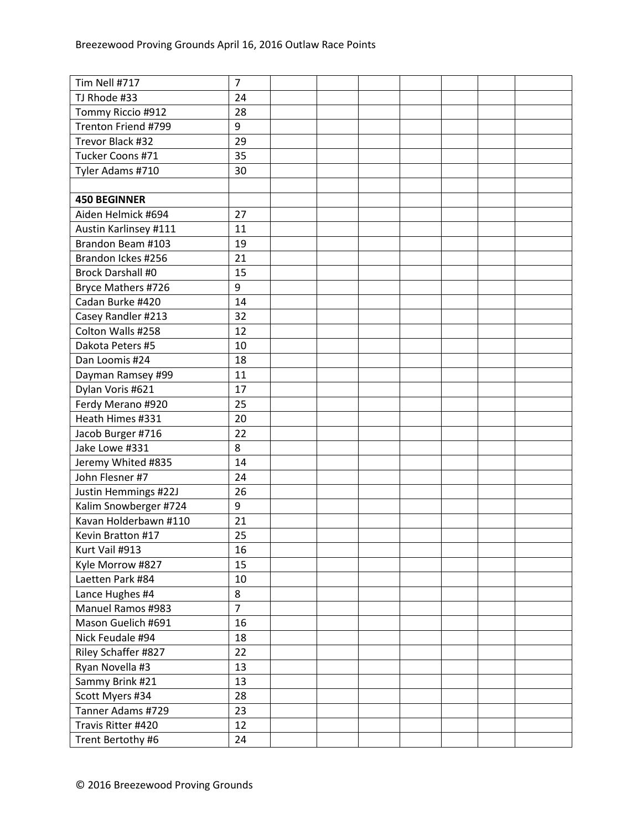| Tim Nell #717            | $\overline{7}$ |  |  |  |  |
|--------------------------|----------------|--|--|--|--|
| TJ Rhode #33             | 24             |  |  |  |  |
| Tommy Riccio #912        | 28             |  |  |  |  |
| Trenton Friend #799      | 9              |  |  |  |  |
| Trevor Black #32         | 29             |  |  |  |  |
| Tucker Coons #71         | 35             |  |  |  |  |
| Tyler Adams #710         | 30             |  |  |  |  |
|                          |                |  |  |  |  |
| <b>450 BEGINNER</b>      |                |  |  |  |  |
| Aiden Helmick #694       | 27             |  |  |  |  |
| Austin Karlinsey #111    | 11             |  |  |  |  |
| Brandon Beam #103        | 19             |  |  |  |  |
| Brandon Ickes #256       | 21             |  |  |  |  |
| <b>Brock Darshall #0</b> | 15             |  |  |  |  |
| Bryce Mathers #726       | 9              |  |  |  |  |
| Cadan Burke #420         | 14             |  |  |  |  |
| Casey Randler #213       | 32             |  |  |  |  |
| Colton Walls #258        | 12             |  |  |  |  |
| Dakota Peters #5         | 10             |  |  |  |  |
| Dan Loomis #24           | 18             |  |  |  |  |
| Dayman Ramsey #99        | 11             |  |  |  |  |
| Dylan Voris #621         | 17             |  |  |  |  |
| Ferdy Merano #920        | 25             |  |  |  |  |
| Heath Himes #331         | 20             |  |  |  |  |
| Jacob Burger #716        | 22             |  |  |  |  |
| Jake Lowe #331           | 8              |  |  |  |  |
| Jeremy Whited #835       | 14             |  |  |  |  |
| John Flesner #7          | 24             |  |  |  |  |
| Justin Hemmings #22J     | 26             |  |  |  |  |
| Kalim Snowberger #724    | 9              |  |  |  |  |
| Kavan Holderbawn #110    | 21             |  |  |  |  |
| Kevin Bratton #17        | 25             |  |  |  |  |
| Kurt Vail #913           | 16             |  |  |  |  |
| Kyle Morrow #827         | 15             |  |  |  |  |
| Laetten Park #84         | 10             |  |  |  |  |
| Lance Hughes #4          | 8              |  |  |  |  |
| Manuel Ramos #983        | $\overline{7}$ |  |  |  |  |
| Mason Guelich #691       | 16             |  |  |  |  |
| Nick Feudale #94         | 18             |  |  |  |  |
| Riley Schaffer #827      | 22             |  |  |  |  |
| Ryan Novella #3          | 13             |  |  |  |  |
| Sammy Brink #21          | 13             |  |  |  |  |
| Scott Myers #34          | 28             |  |  |  |  |
| Tanner Adams #729        | 23             |  |  |  |  |
| Travis Ritter #420       | 12             |  |  |  |  |
| Trent Bertothy #6        | 24             |  |  |  |  |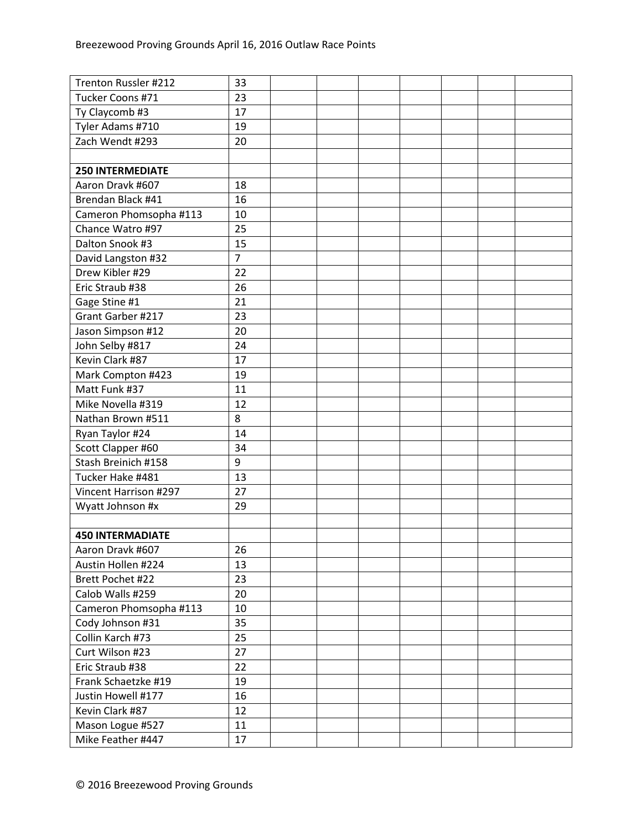| Trenton Russler #212    | 33             |  |  |  |  |
|-------------------------|----------------|--|--|--|--|
| Tucker Coons #71        | 23             |  |  |  |  |
| Ty Claycomb #3          | 17             |  |  |  |  |
| Tyler Adams #710        | 19             |  |  |  |  |
| Zach Wendt #293         | 20             |  |  |  |  |
|                         |                |  |  |  |  |
| <b>250 INTERMEDIATE</b> |                |  |  |  |  |
| Aaron Dravk #607        | 18             |  |  |  |  |
| Brendan Black #41       | 16             |  |  |  |  |
| Cameron Phomsopha #113  | 10             |  |  |  |  |
| Chance Watro #97        | 25             |  |  |  |  |
| Dalton Snook #3         | 15             |  |  |  |  |
| David Langston #32      | $\overline{7}$ |  |  |  |  |
| Drew Kibler #29         | 22             |  |  |  |  |
| Eric Straub #38         | 26             |  |  |  |  |
| Gage Stine #1           | 21             |  |  |  |  |
| Grant Garber #217       | 23             |  |  |  |  |
| Jason Simpson #12       | 20             |  |  |  |  |
| John Selby #817         | 24             |  |  |  |  |
| Kevin Clark #87         | 17             |  |  |  |  |
| Mark Compton #423       | 19             |  |  |  |  |
| Matt Funk #37           | 11             |  |  |  |  |
| Mike Novella #319       | 12             |  |  |  |  |
| Nathan Brown #511       | 8              |  |  |  |  |
| Ryan Taylor #24         | 14             |  |  |  |  |
| Scott Clapper #60       | 34             |  |  |  |  |
| Stash Breinich #158     | 9              |  |  |  |  |
| Tucker Hake #481        | 13             |  |  |  |  |
| Vincent Harrison #297   | 27             |  |  |  |  |
| Wyatt Johnson #x        | 29             |  |  |  |  |
|                         |                |  |  |  |  |
| <b>450 INTERMADIATE</b> |                |  |  |  |  |
| Aaron Dravk #607        | 26             |  |  |  |  |
| Austin Hollen #224      | 13             |  |  |  |  |
| Brett Pochet #22        | 23             |  |  |  |  |
| Calob Walls #259        | 20             |  |  |  |  |
| Cameron Phomsopha #113  | 10             |  |  |  |  |
| Cody Johnson #31        | 35             |  |  |  |  |
| Collin Karch #73        | 25             |  |  |  |  |
| Curt Wilson #23         | 27             |  |  |  |  |
| Eric Straub #38         | 22             |  |  |  |  |
| Frank Schaetzke #19     | 19             |  |  |  |  |
| Justin Howell #177      | 16             |  |  |  |  |
| Kevin Clark #87         | 12             |  |  |  |  |
| Mason Logue #527        | 11             |  |  |  |  |
| Mike Feather #447       | 17             |  |  |  |  |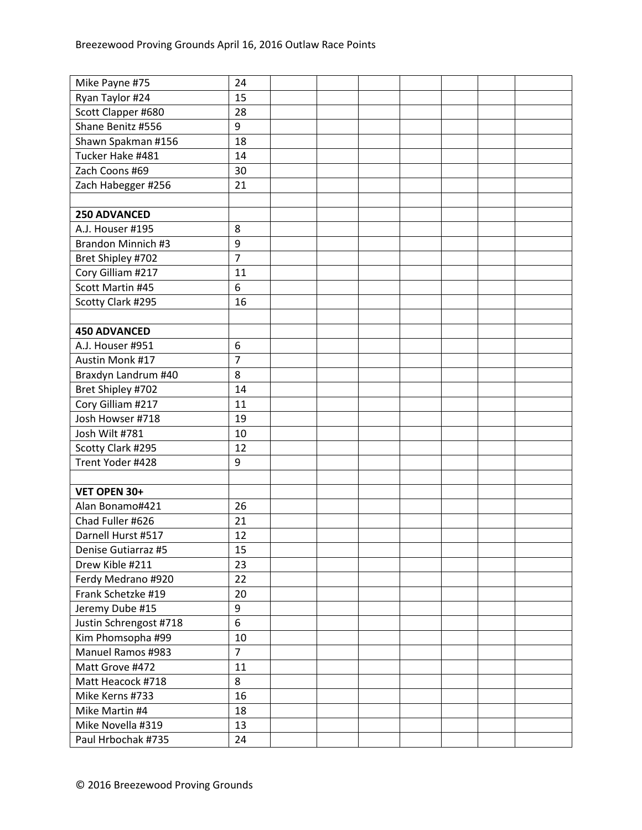| Mike Payne #75         | 24               |  |  |  |  |
|------------------------|------------------|--|--|--|--|
| Ryan Taylor #24        | 15               |  |  |  |  |
| Scott Clapper #680     | 28               |  |  |  |  |
| Shane Benitz #556      | $9\,$            |  |  |  |  |
| Shawn Spakman #156     | 18               |  |  |  |  |
| Tucker Hake #481       | 14               |  |  |  |  |
| Zach Coons #69         | 30               |  |  |  |  |
| Zach Habegger #256     | 21               |  |  |  |  |
|                        |                  |  |  |  |  |
| 250 ADVANCED           |                  |  |  |  |  |
| A.J. Houser #195       | 8                |  |  |  |  |
| Brandon Minnich #3     | 9                |  |  |  |  |
| Bret Shipley #702      | $\overline{7}$   |  |  |  |  |
| Cory Gilliam #217      | 11               |  |  |  |  |
| Scott Martin #45       | 6                |  |  |  |  |
| Scotty Clark #295      | 16               |  |  |  |  |
|                        |                  |  |  |  |  |
| <b>450 ADVANCED</b>    |                  |  |  |  |  |
| A.J. Houser #951       | 6                |  |  |  |  |
| Austin Monk #17        | $\overline{7}$   |  |  |  |  |
| Braxdyn Landrum #40    | 8                |  |  |  |  |
| Bret Shipley #702      | 14               |  |  |  |  |
| Cory Gilliam #217      | 11               |  |  |  |  |
| Josh Howser #718       | 19               |  |  |  |  |
| Josh Wilt #781         | 10               |  |  |  |  |
| Scotty Clark #295      | 12               |  |  |  |  |
| Trent Yoder #428       | 9                |  |  |  |  |
|                        |                  |  |  |  |  |
| VET OPEN 30+           |                  |  |  |  |  |
| Alan Bonamo#421        | 26               |  |  |  |  |
| Chad Fuller #626       | 21               |  |  |  |  |
| Darnell Hurst #517     | 12               |  |  |  |  |
| Denise Gutiarraz #5    | 15               |  |  |  |  |
| Drew Kible #211        | 23               |  |  |  |  |
| Ferdy Medrano #920     | 22               |  |  |  |  |
| Frank Schetzke #19     | 20               |  |  |  |  |
| Jeremy Dube #15        | $\boldsymbol{9}$ |  |  |  |  |
| Justin Schrengost #718 | 6                |  |  |  |  |
| Kim Phomsopha #99      | 10               |  |  |  |  |
| Manuel Ramos #983      | $\overline{7}$   |  |  |  |  |
| Matt Grove #472        | 11               |  |  |  |  |
| Matt Heacock #718      | 8                |  |  |  |  |
| Mike Kerns #733        | 16               |  |  |  |  |
| Mike Martin #4         | 18               |  |  |  |  |
| Mike Novella #319      | 13               |  |  |  |  |
| Paul Hrbochak #735     | 24               |  |  |  |  |
|                        |                  |  |  |  |  |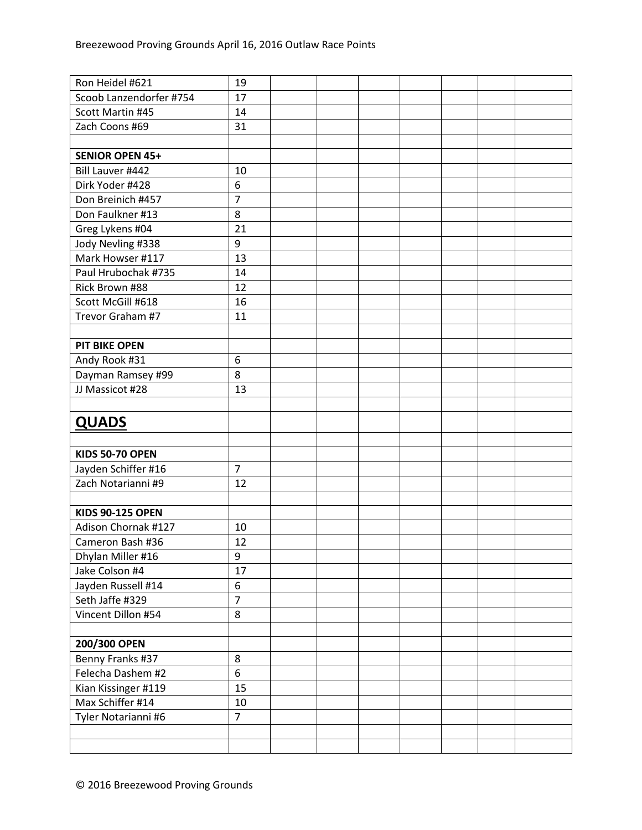| Ron Heidel #621         | 19               |  |  |  |  |
|-------------------------|------------------|--|--|--|--|
| Scoob Lanzendorfer #754 | 17               |  |  |  |  |
| Scott Martin #45        | 14               |  |  |  |  |
| Zach Coons #69          | 31               |  |  |  |  |
|                         |                  |  |  |  |  |
| <b>SENIOR OPEN 45+</b>  |                  |  |  |  |  |
| Bill Lauver #442        | 10               |  |  |  |  |
| Dirk Yoder #428         | 6                |  |  |  |  |
| Don Breinich #457       | $\overline{7}$   |  |  |  |  |
| Don Faulkner #13        | 8                |  |  |  |  |
| Greg Lykens #04         | 21               |  |  |  |  |
| Jody Nevling #338       | 9                |  |  |  |  |
| Mark Howser #117        | 13               |  |  |  |  |
| Paul Hrubochak #735     | 14               |  |  |  |  |
| Rick Brown #88          | 12               |  |  |  |  |
| Scott McGill #618       | 16               |  |  |  |  |
| Trevor Graham #7        | 11               |  |  |  |  |
|                         |                  |  |  |  |  |
| <b>PIT BIKE OPEN</b>    |                  |  |  |  |  |
| Andy Rook #31           | 6                |  |  |  |  |
| Dayman Ramsey #99       | 8                |  |  |  |  |
| JJ Massicot #28         | 13               |  |  |  |  |
|                         |                  |  |  |  |  |
| <b>QUADS</b>            |                  |  |  |  |  |
|                         |                  |  |  |  |  |
|                         |                  |  |  |  |  |
| <b>KIDS 50-70 OPEN</b>  |                  |  |  |  |  |
| Jayden Schiffer #16     | $\overline{7}$   |  |  |  |  |
| Zach Notarianni #9      | 12               |  |  |  |  |
|                         |                  |  |  |  |  |
| <b>KIDS 90-125 OPEN</b> |                  |  |  |  |  |
| Adison Chornak #127     | 10               |  |  |  |  |
| Cameron Bash #36        | 12               |  |  |  |  |
| Dhylan Miller #16       | 9                |  |  |  |  |
| Jake Colson #4          | 17               |  |  |  |  |
| Jayden Russell #14      | $\boldsymbol{6}$ |  |  |  |  |
| Seth Jaffe #329         | $\overline{7}$   |  |  |  |  |
| Vincent Dillon #54      | 8                |  |  |  |  |
|                         |                  |  |  |  |  |
| 200/300 OPEN            |                  |  |  |  |  |
| Benny Franks #37        | 8                |  |  |  |  |
| Felecha Dashem #2       | $\boldsymbol{6}$ |  |  |  |  |
| Kian Kissinger #119     | 15               |  |  |  |  |
| Max Schiffer #14        | 10               |  |  |  |  |
| Tyler Notarianni #6     | $\overline{7}$   |  |  |  |  |
|                         |                  |  |  |  |  |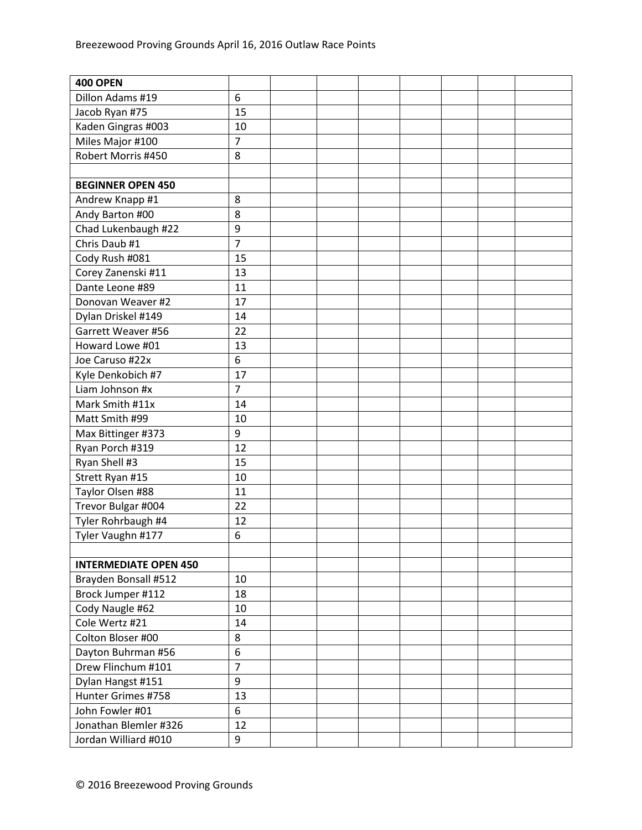| <b>400 OPEN</b>              |                |  |  |  |  |
|------------------------------|----------------|--|--|--|--|
| Dillon Adams #19             | 6              |  |  |  |  |
| Jacob Ryan #75               | 15             |  |  |  |  |
| Kaden Gingras #003           | 10             |  |  |  |  |
| Miles Major #100             | $\overline{7}$ |  |  |  |  |
| Robert Morris #450           | 8              |  |  |  |  |
|                              |                |  |  |  |  |
| <b>BEGINNER OPEN 450</b>     |                |  |  |  |  |
| Andrew Knapp #1              | 8              |  |  |  |  |
| Andy Barton #00              | 8              |  |  |  |  |
| Chad Lukenbaugh #22          | 9              |  |  |  |  |
| Chris Daub #1                | $\overline{7}$ |  |  |  |  |
| Cody Rush #081               | 15             |  |  |  |  |
| Corey Zanenski #11           | 13             |  |  |  |  |
| Dante Leone #89              | 11             |  |  |  |  |
| Donovan Weaver #2            | 17             |  |  |  |  |
| Dylan Driskel #149           | 14             |  |  |  |  |
| Garrett Weaver #56           | 22             |  |  |  |  |
| Howard Lowe #01              | 13             |  |  |  |  |
| Joe Caruso #22x              | 6              |  |  |  |  |
| Kyle Denkobich #7            | 17             |  |  |  |  |
| Liam Johnson #x              | $\overline{7}$ |  |  |  |  |
| Mark Smith #11x              | 14             |  |  |  |  |
| Matt Smith #99               | 10             |  |  |  |  |
| Max Bittinger #373           | 9              |  |  |  |  |
| Ryan Porch #319              | 12             |  |  |  |  |
| Ryan Shell #3                | 15             |  |  |  |  |
| Strett Ryan #15              | 10             |  |  |  |  |
| Taylor Olsen #88             | 11             |  |  |  |  |
| Trevor Bulgar #004           | 22             |  |  |  |  |
| Tyler Rohrbaugh #4           | 12             |  |  |  |  |
| Tyler Vaughn #177            | 6              |  |  |  |  |
|                              |                |  |  |  |  |
| <b>INTERMEDIATE OPEN 450</b> |                |  |  |  |  |
| Brayden Bonsall #512         | 10             |  |  |  |  |
| Brock Jumper #112            | 18             |  |  |  |  |
| Cody Naugle #62              | 10             |  |  |  |  |
| Cole Wertz #21               | 14             |  |  |  |  |
| Colton Bloser #00            | 8              |  |  |  |  |
| Dayton Buhrman #56           | 6              |  |  |  |  |
| Drew Flinchum #101           | $\overline{7}$ |  |  |  |  |
| Dylan Hangst #151            | 9              |  |  |  |  |
| Hunter Grimes #758           | 13             |  |  |  |  |
| John Fowler #01              | 6              |  |  |  |  |
| Jonathan Blemler #326        | 12             |  |  |  |  |
| Jordan Williard #010         | 9              |  |  |  |  |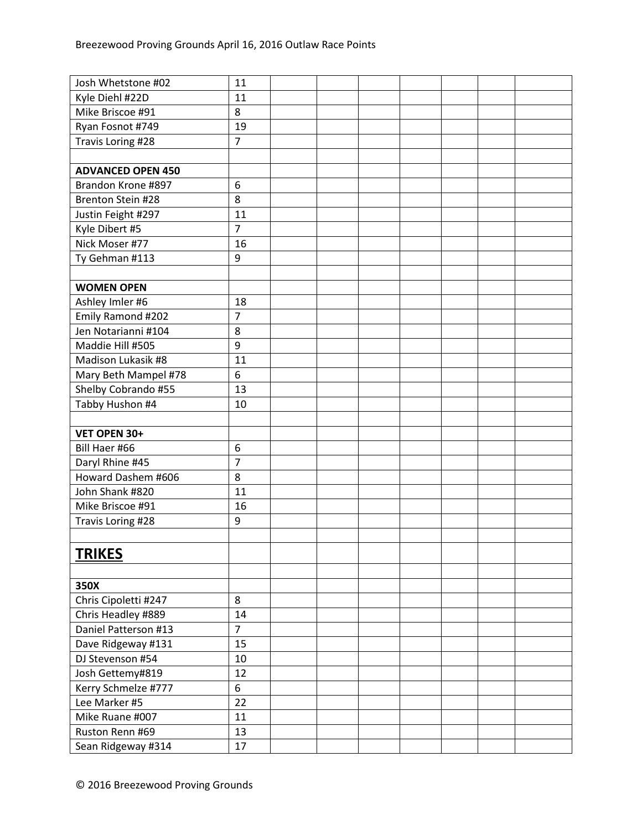| Josh Whetstone #02       | 11             |  |  |  |  |
|--------------------------|----------------|--|--|--|--|
| Kyle Diehl #22D          | 11             |  |  |  |  |
| Mike Briscoe #91         | 8              |  |  |  |  |
| Ryan Fosnot #749         | 19             |  |  |  |  |
| Travis Loring #28        | $\overline{7}$ |  |  |  |  |
|                          |                |  |  |  |  |
| <b>ADVANCED OPEN 450</b> |                |  |  |  |  |
| Brandon Krone #897       | 6              |  |  |  |  |
| Brenton Stein #28        | 8              |  |  |  |  |
| Justin Feight #297       | 11             |  |  |  |  |
| Kyle Dibert #5           | $\overline{7}$ |  |  |  |  |
| Nick Moser #77           | 16             |  |  |  |  |
| Ty Gehman #113           | 9              |  |  |  |  |
|                          |                |  |  |  |  |
| <b>WOMEN OPEN</b>        |                |  |  |  |  |
| Ashley Imler #6          | 18             |  |  |  |  |
| Emily Ramond #202        | $\overline{7}$ |  |  |  |  |
| Jen Notarianni #104      | 8              |  |  |  |  |
| Maddie Hill #505         | 9              |  |  |  |  |
| Madison Lukasik #8       | 11             |  |  |  |  |
| Mary Beth Mampel #78     | 6              |  |  |  |  |
| Shelby Cobrando #55      | 13             |  |  |  |  |
| Tabby Hushon #4          | 10             |  |  |  |  |
|                          |                |  |  |  |  |
| VET OPEN 30+             |                |  |  |  |  |
| Bill Haer #66            | 6              |  |  |  |  |
| Daryl Rhine #45          | $\overline{7}$ |  |  |  |  |
| Howard Dashem #606       | 8              |  |  |  |  |
| John Shank #820          | 11             |  |  |  |  |
| Mike Briscoe #91         | 16             |  |  |  |  |
| Travis Loring #28        | 9              |  |  |  |  |
|                          |                |  |  |  |  |
| <b>TRIKES</b>            |                |  |  |  |  |
|                          |                |  |  |  |  |
| 350X                     |                |  |  |  |  |
| Chris Cipoletti #247     | 8              |  |  |  |  |
| Chris Headley #889       | 14             |  |  |  |  |
| Daniel Patterson #13     | $\overline{7}$ |  |  |  |  |
| Dave Ridgeway #131       | 15             |  |  |  |  |
| DJ Stevenson #54         | 10             |  |  |  |  |
| Josh Gettemy#819         | 12             |  |  |  |  |
| Kerry Schmelze #777      | 6              |  |  |  |  |
| Lee Marker #5            | 22             |  |  |  |  |
| Mike Ruane #007          | 11             |  |  |  |  |
| Ruston Renn #69          | 13             |  |  |  |  |
| Sean Ridgeway #314       | 17             |  |  |  |  |
|                          |                |  |  |  |  |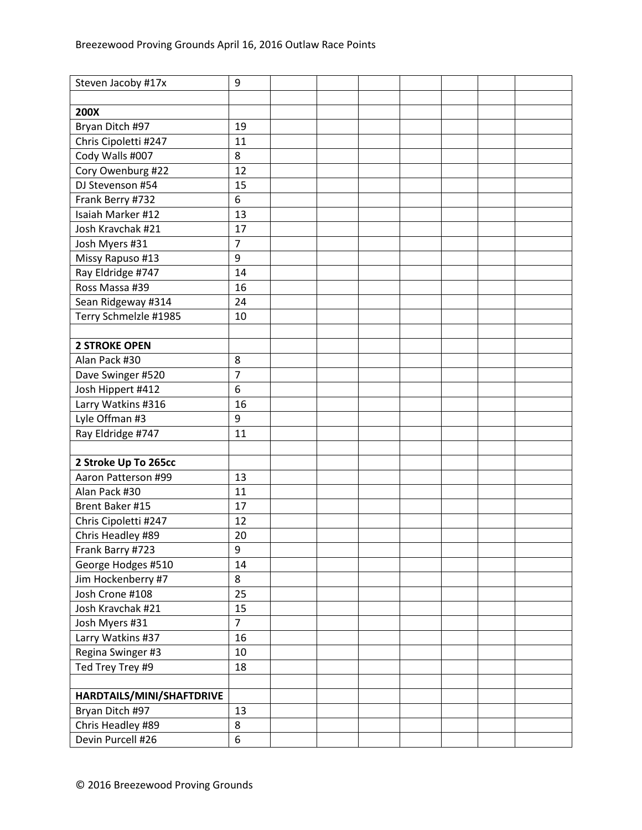| Steven Jacoby #17x        | 9                |  |  |  |  |
|---------------------------|------------------|--|--|--|--|
|                           |                  |  |  |  |  |
| 200X                      |                  |  |  |  |  |
| Bryan Ditch #97           | 19               |  |  |  |  |
| Chris Cipoletti #247      | 11               |  |  |  |  |
| Cody Walls #007           | 8                |  |  |  |  |
| Cory Owenburg #22         | 12               |  |  |  |  |
| DJ Stevenson #54          | 15               |  |  |  |  |
| Frank Berry #732          | 6                |  |  |  |  |
| Isaiah Marker #12         | 13               |  |  |  |  |
| Josh Kravchak #21         | 17               |  |  |  |  |
| Josh Myers #31            | $\overline{7}$   |  |  |  |  |
| Missy Rapuso #13          | 9                |  |  |  |  |
| Ray Eldridge #747         | 14               |  |  |  |  |
| Ross Massa #39            | 16               |  |  |  |  |
| Sean Ridgeway #314        | 24               |  |  |  |  |
| Terry Schmelzle #1985     | 10               |  |  |  |  |
|                           |                  |  |  |  |  |
| <b>2 STROKE OPEN</b>      |                  |  |  |  |  |
| Alan Pack #30             | 8                |  |  |  |  |
| Dave Swinger #520         | $\overline{7}$   |  |  |  |  |
| Josh Hippert #412         | 6                |  |  |  |  |
| Larry Watkins #316        | 16               |  |  |  |  |
| Lyle Offman #3            | 9                |  |  |  |  |
| Ray Eldridge #747         | 11               |  |  |  |  |
|                           |                  |  |  |  |  |
| 2 Stroke Up To 265cc      |                  |  |  |  |  |
| Aaron Patterson #99       | 13               |  |  |  |  |
| Alan Pack #30             | 11               |  |  |  |  |
| Brent Baker #15           | 17               |  |  |  |  |
| Chris Cipoletti #247      | 12               |  |  |  |  |
| Chris Headley #89         | 20               |  |  |  |  |
| Frank Barry #723          | $\boldsymbol{9}$ |  |  |  |  |
| George Hodges #510        | 14               |  |  |  |  |
| Jim Hockenberry #7        | 8                |  |  |  |  |
| Josh Crone #108           | 25               |  |  |  |  |
| Josh Kravchak #21         | 15               |  |  |  |  |
| Josh Myers #31            | $\overline{7}$   |  |  |  |  |
| Larry Watkins #37         | 16               |  |  |  |  |
| Regina Swinger #3         | 10               |  |  |  |  |
| Ted Trey Trey #9          | 18               |  |  |  |  |
|                           |                  |  |  |  |  |
| HARDTAILS/MINI/SHAFTDRIVE |                  |  |  |  |  |
| Bryan Ditch #97           | 13               |  |  |  |  |
| Chris Headley #89         | 8                |  |  |  |  |
| Devin Purcell #26         | 6                |  |  |  |  |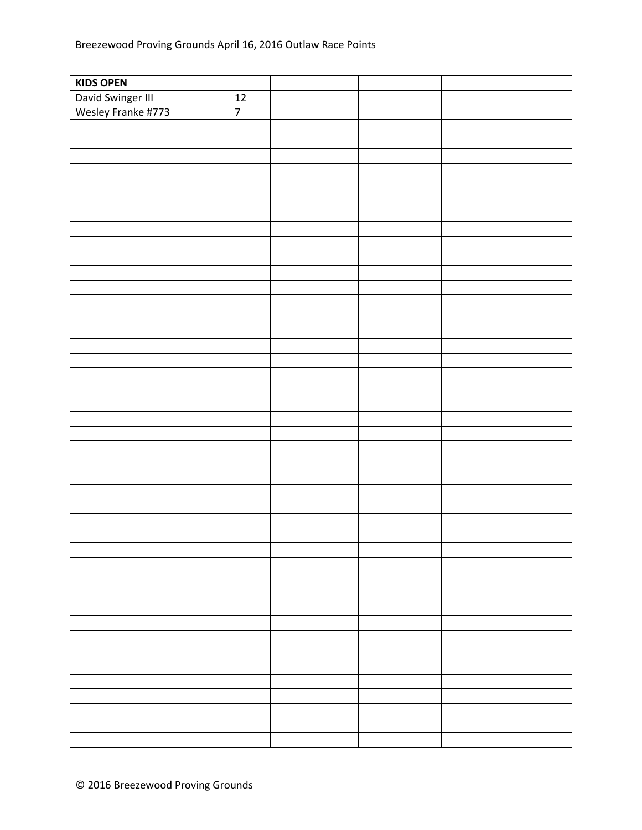| <b>KIDS OPEN</b>   |                |  |  |  |  |
|--------------------|----------------|--|--|--|--|
| David Swinger III  | $12\,$         |  |  |  |  |
| Wesley Franke #773 | $\overline{7}$ |  |  |  |  |
|                    |                |  |  |  |  |
|                    |                |  |  |  |  |
|                    |                |  |  |  |  |
|                    |                |  |  |  |  |
|                    |                |  |  |  |  |
|                    |                |  |  |  |  |
|                    |                |  |  |  |  |
|                    |                |  |  |  |  |
|                    |                |  |  |  |  |
|                    |                |  |  |  |  |
|                    |                |  |  |  |  |
|                    |                |  |  |  |  |
|                    |                |  |  |  |  |
|                    |                |  |  |  |  |
|                    |                |  |  |  |  |
|                    |                |  |  |  |  |
|                    |                |  |  |  |  |
|                    |                |  |  |  |  |
|                    |                |  |  |  |  |
|                    |                |  |  |  |  |
|                    |                |  |  |  |  |
|                    |                |  |  |  |  |
|                    |                |  |  |  |  |
|                    |                |  |  |  |  |
|                    |                |  |  |  |  |
|                    |                |  |  |  |  |
|                    |                |  |  |  |  |
|                    |                |  |  |  |  |
|                    |                |  |  |  |  |
|                    |                |  |  |  |  |
|                    |                |  |  |  |  |
|                    |                |  |  |  |  |
|                    |                |  |  |  |  |
|                    |                |  |  |  |  |
|                    |                |  |  |  |  |
|                    |                |  |  |  |  |
|                    |                |  |  |  |  |
|                    |                |  |  |  |  |
|                    |                |  |  |  |  |
|                    |                |  |  |  |  |
|                    |                |  |  |  |  |
|                    |                |  |  |  |  |
|                    |                |  |  |  |  |
|                    |                |  |  |  |  |
|                    |                |  |  |  |  |